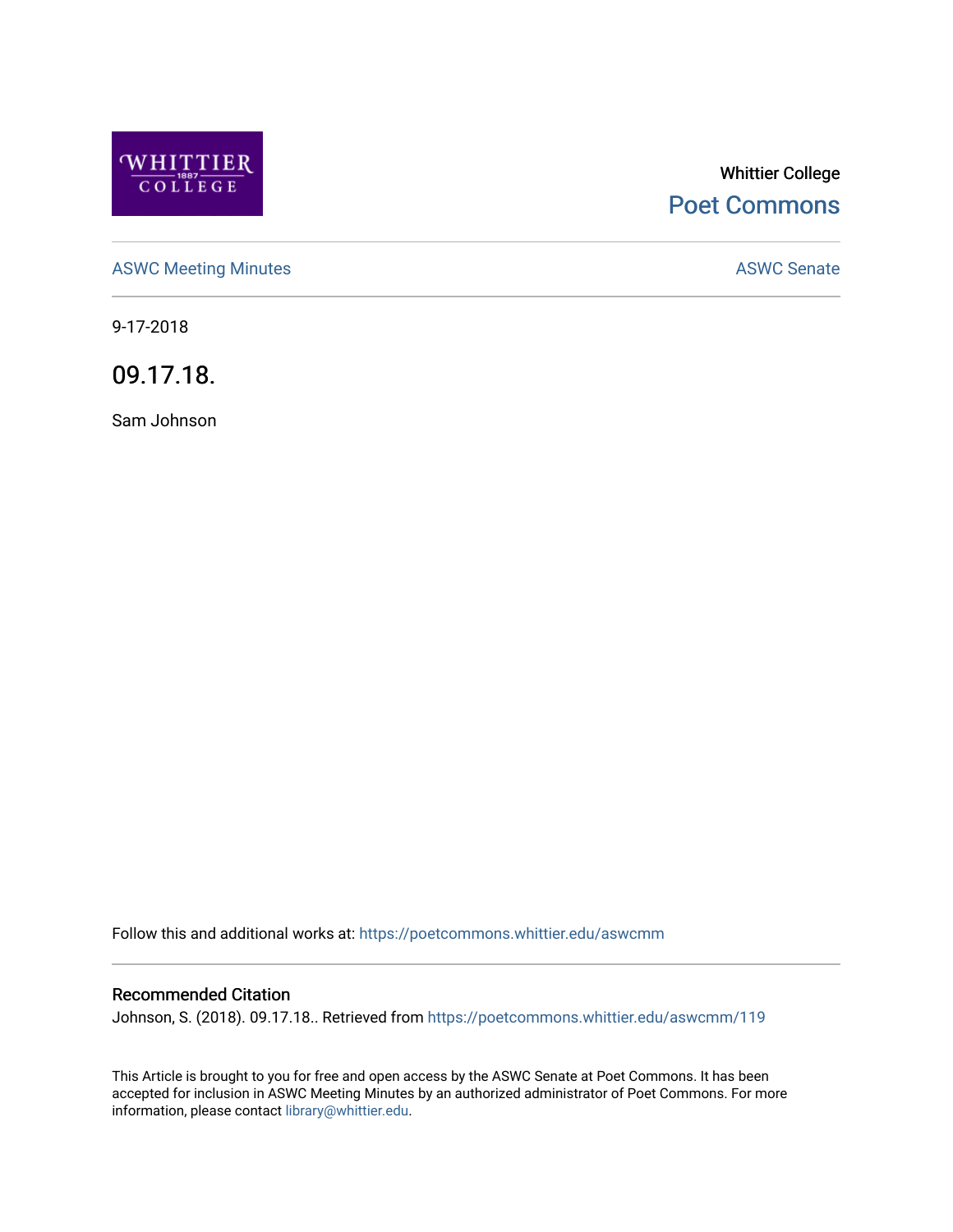

# Whittier College [Poet Commons](https://poetcommons.whittier.edu/)

[ASWC Meeting Minutes](https://poetcommons.whittier.edu/aswcmm) **ASWC Senate** 

9-17-2018

09.17.18.

Sam Johnson

Follow this and additional works at: [https://poetcommons.whittier.edu/aswcmm](https://poetcommons.whittier.edu/aswcmm?utm_source=poetcommons.whittier.edu%2Faswcmm%2F119&utm_medium=PDF&utm_campaign=PDFCoverPages)

#### Recommended Citation

Johnson, S. (2018). 09.17.18.. Retrieved from [https://poetcommons.whittier.edu/aswcmm/119](https://poetcommons.whittier.edu/aswcmm/119?utm_source=poetcommons.whittier.edu%2Faswcmm%2F119&utm_medium=PDF&utm_campaign=PDFCoverPages)

This Article is brought to you for free and open access by the ASWC Senate at Poet Commons. It has been accepted for inclusion in ASWC Meeting Minutes by an authorized administrator of Poet Commons. For more information, please contact [library@whittier.edu.](mailto:library@whittier.edu)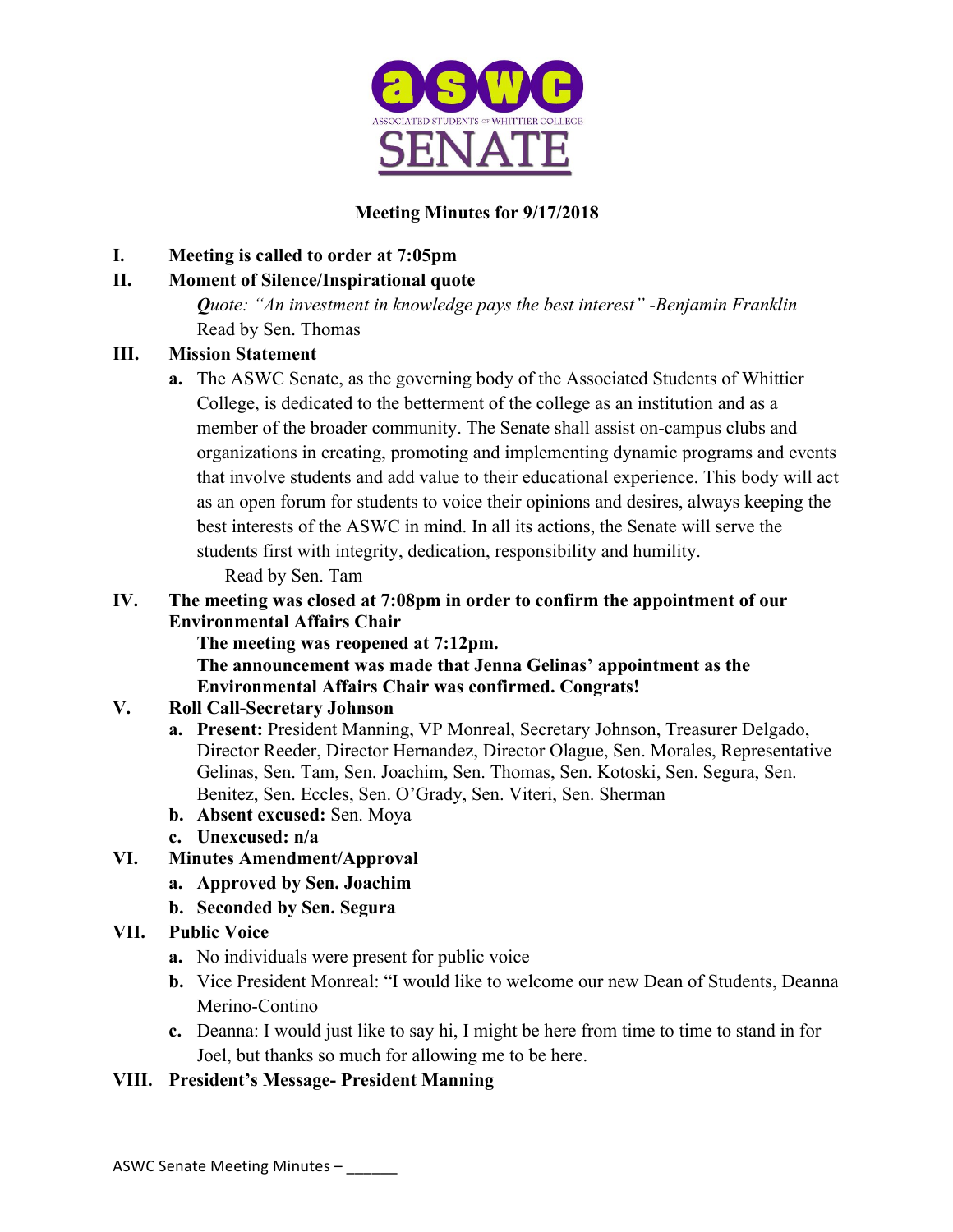

### **Meeting Minutes for 9/17/2018**

### **I. Meeting is called to order at 7:05pm**

### **II. Moment of Silence/Inspirational quote**

*Quote: "An investment in knowledge pays the best interest" -Benjamin Franklin* Read by Sen. Thomas

### **III. Mission Statement**

**a.** The ASWC Senate, as the governing body of the Associated Students of Whittier College, is dedicated to the betterment of the college as an institution and as a member of the broader community. The Senate shall assist on-campus clubs and organizations in creating, promoting and implementing dynamic programs and events that involve students and add value to their educational experience. This body will act as an open forum for students to voice their opinions and desires, always keeping the best interests of the ASWC in mind. In all its actions, the Senate will serve the students first with integrity, dedication, responsibility and humility.

Read by Sen. Tam

### **IV. The meeting was closed at 7:08pm in order to confirm the appointment of our Environmental Affairs Chair**

**The meeting was reopened at 7:12pm.**

**The announcement was made that Jenna Gelinas' appointment as the Environmental Affairs Chair was confirmed. Congrats!**

### **V. Roll Call-Secretary Johnson**

- **a. Present:** President Manning, VP Monreal, Secretary Johnson, Treasurer Delgado, Director Reeder, Director Hernandez, Director Olague, Sen. Morales, Representative Gelinas, Sen. Tam, Sen. Joachim, Sen. Thomas, Sen. Kotoski, Sen. Segura, Sen. Benitez, Sen. Eccles, Sen. O'Grady, Sen. Viteri, Sen. Sherman
- **b. Absent excused:** Sen. Moya
- **c. Unexcused: n/a**
- **VI. Minutes Amendment/Approval**
	- **a. Approved by Sen. Joachim**
	- **b. Seconded by Sen. Segura**

### **VII. Public Voice**

- **a.** No individuals were present for public voice
- **b.** Vice President Monreal: "I would like to welcome our new Dean of Students, Deanna Merino-Contino
- **c.** Deanna: I would just like to say hi, I might be here from time to time to stand in for Joel, but thanks so much for allowing me to be here.

### **VIII. President's Message- President Manning**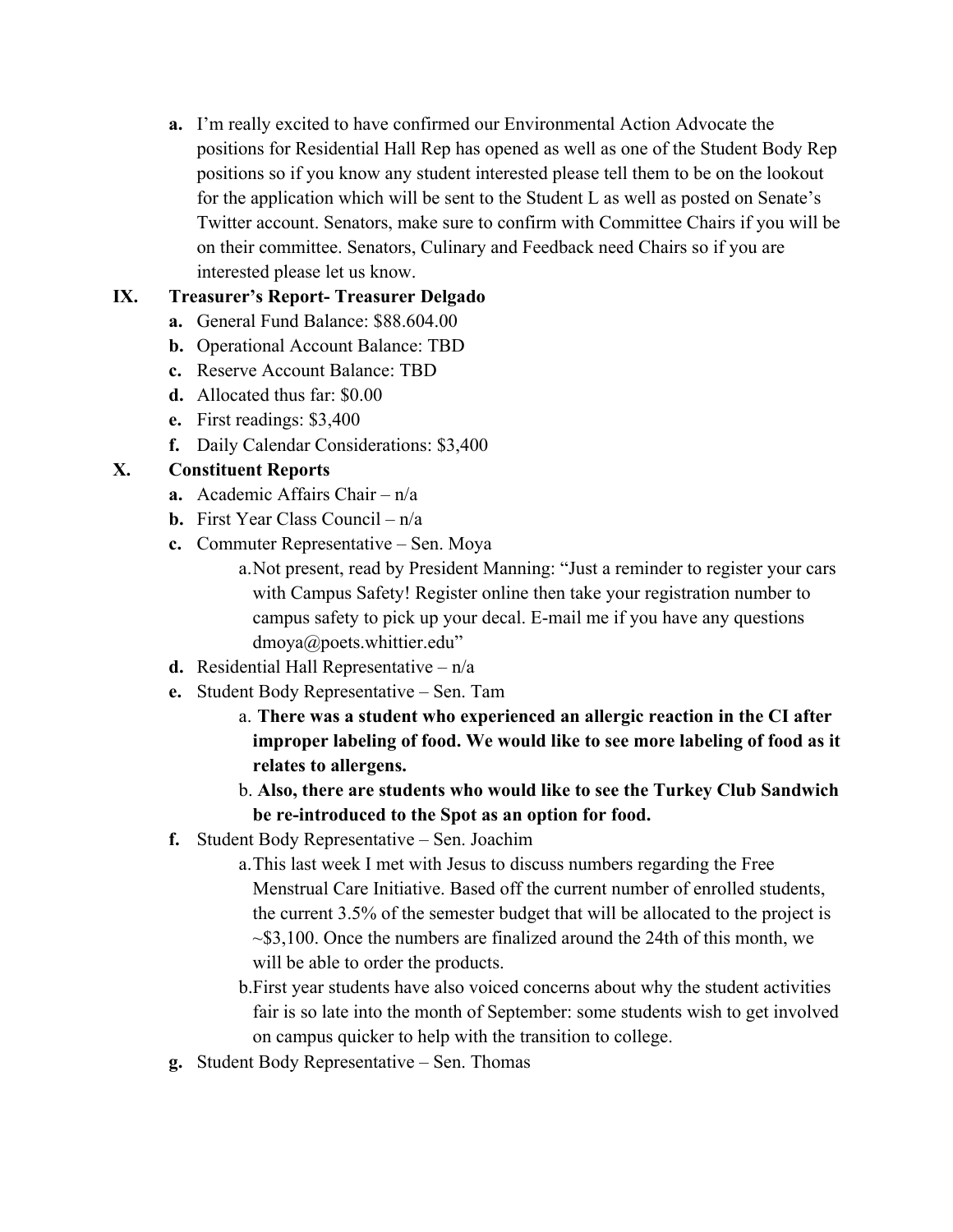**a.** I'm really excited to have confirmed our Environmental Action Advocate the positions for Residential Hall Rep has opened as well as one of the Student Body Rep positions so if you know any student interested please tell them to be on the lookout for the application which will be sent to the Student L as well as posted on Senate's Twitter account. Senators, make sure to confirm with Committee Chairs if you will be on their committee. Senators, Culinary and Feedback need Chairs so if you are interested please let us know.

### **IX. Treasurer's Report- Treasurer Delgado**

- **a.** General Fund Balance: \$88.604.00
- **b.** Operational Account Balance: TBD
- **c.** Reserve Account Balance: TBD
- **d.** Allocated thus far: \$0.00
- **e.** First readings: \$3,400
- **f.** Daily Calendar Considerations: \$3,400

### **X. Constituent Reports**

- **a.** Academic Affairs Chair n/a
- **b.** First Year Class Council n/a
- **c.** Commuter Representative Sen. Moya
	- a.Not present, read by President Manning: "Just a reminder to register your cars with Campus Safety! Register online then take your registration number to campus safety to pick up your decal. E-mail me if you have any questions dmoya@poets.whittier.edu"
- **d.** Residential Hall Representative n/a
- **e.** Student Body Representative Sen. Tam
	- a. **There was a student who experienced an allergic reaction in the CI after improper labeling of food. We would like to see more labeling of food as it relates to allergens.**
	- b. **Also, there are students who would like to see the Turkey Club Sandwich be re-introduced to the Spot as an option for food.**
- **f.** Student Body Representative Sen. Joachim
	- a.This last week I met with Jesus to discuss numbers regarding the Free Menstrual Care Initiative. Based off the current number of enrolled students, the current 3.5% of the semester budget that will be allocated to the project is  $\sim$ \$3,100. Once the numbers are finalized around the 24th of this month, we will be able to order the products.
	- b.First year students have also voiced concerns about why the student activities fair is so late into the month of September: some students wish to get involved on campus quicker to help with the transition to college.
- **g.** Student Body Representative Sen. Thomas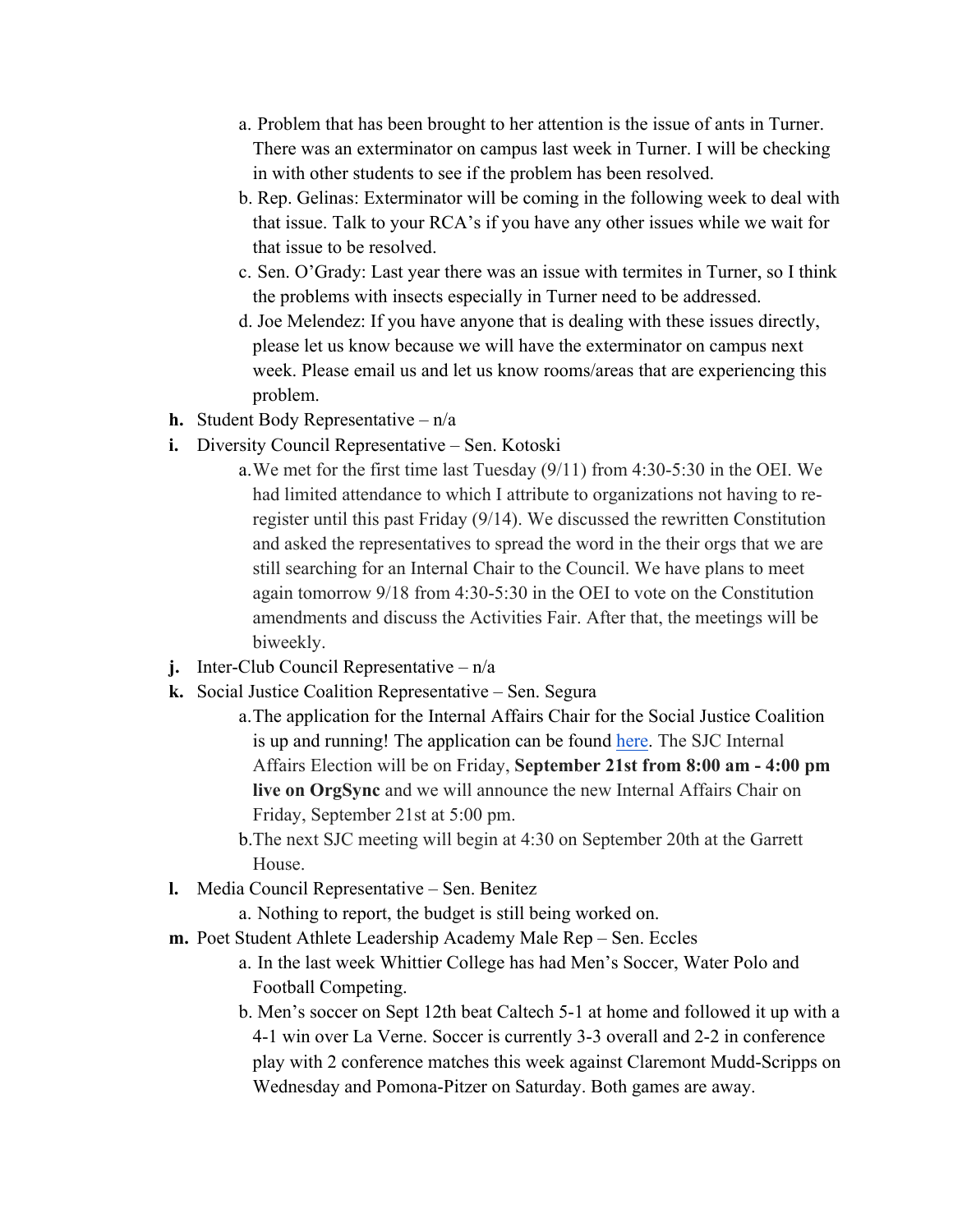- a. Problem that has been brought to her attention is the issue of ants in Turner. There was an exterminator on campus last week in Turner. I will be checking in with other students to see if the problem has been resolved.
- b. Rep. Gelinas: Exterminator will be coming in the following week to deal with that issue. Talk to your RCA's if you have any other issues while we wait for that issue to be resolved.
- c. Sen. O'Grady: Last year there was an issue with termites in Turner, so I think the problems with insects especially in Turner need to be addressed.
- d. Joe Melendez: If you have anyone that is dealing with these issues directly, please let us know because we will have the exterminator on campus next week. Please email us and let us know rooms/areas that are experiencing this problem.
- **h.** Student Body Representative n/a
- **i.** Diversity Council Representative Sen. Kotoski
	- a.We met for the first time last Tuesday (9/11) from 4:30-5:30 in the OEI. We had limited attendance to which I attribute to organizations not having to reregister until this past Friday (9/14). We discussed the rewritten Constitution and asked the representatives to spread the word in the their orgs that we are still searching for an Internal Chair to the Council. We have plans to meet again tomorrow 9/18 from 4:30-5:30 in the OEI to vote on the Constitution amendments and discuss the Activities Fair. After that, the meetings will be biweekly.
- **j.** Inter-Club Council Representative n/a
- **k.** Social Justice Coalition Representative Sen. Segura
	- a.The application for the Internal Affairs Chair for the Social Justice Coalition is up and running! The application can be found here. The SJC Internal Affairs Election will be on Friday, **September 21st from 8:00 am - 4:00 pm live on OrgSync** and we will announce the new Internal Affairs Chair on Friday, September 21st at 5:00 pm.
	- b.The next SJC meeting will begin at 4:30 on September 20th at the Garrett House.
- **l.** Media Council Representative Sen. Benitez
	- a. Nothing to report, the budget is still being worked on.
- **m.** Poet Student Athlete Leadership Academy Male Rep Sen. Eccles
	- a. In the last week Whittier College has had Men's Soccer, Water Polo and Football Competing.
	- b. Men's soccer on Sept 12th beat Caltech 5-1 at home and followed it up with a 4-1 win over La Verne. Soccer is currently 3-3 overall and 2-2 in conference play with 2 conference matches this week against Claremont Mudd-Scripps on Wednesday and Pomona-Pitzer on Saturday. Both games are away.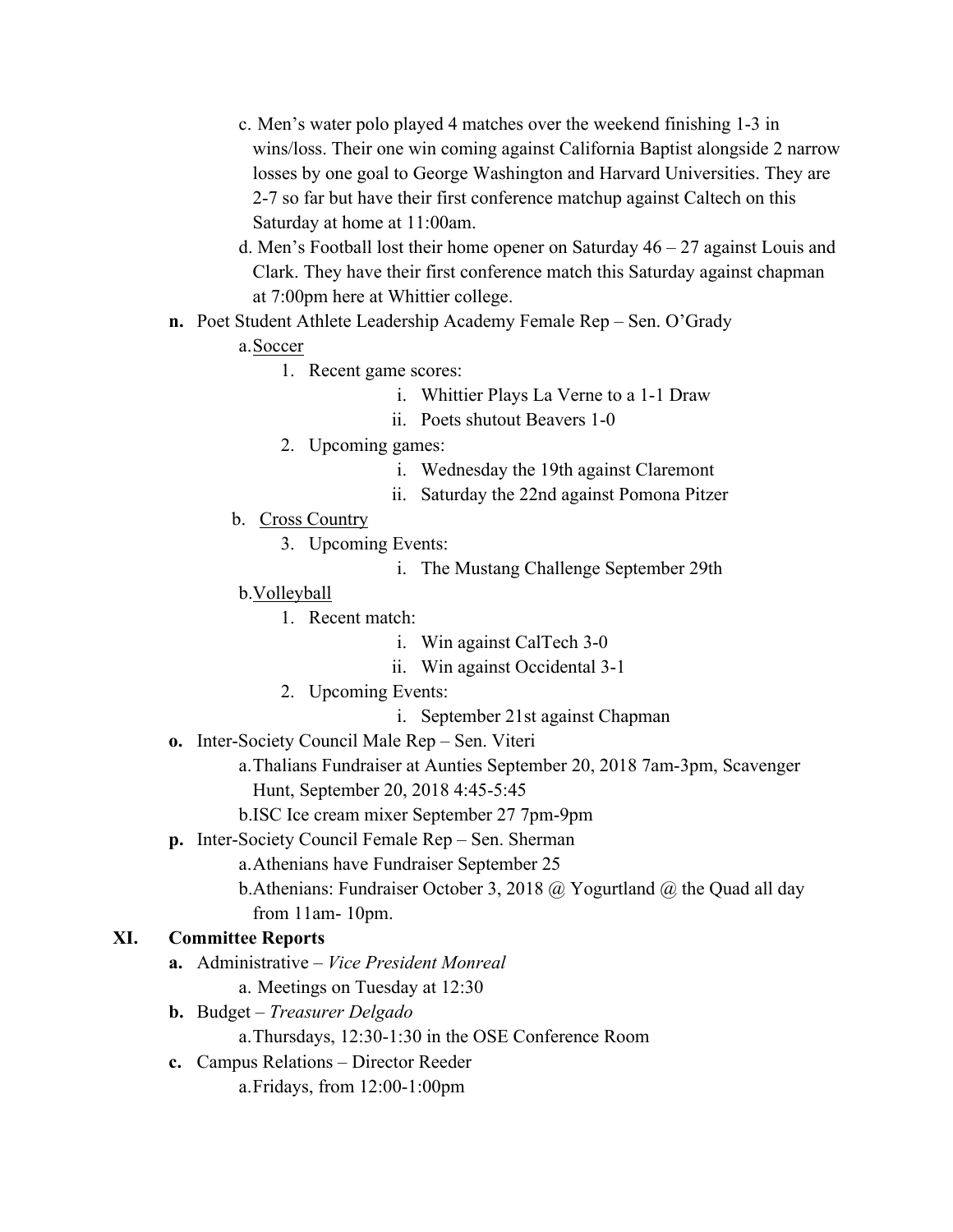- c. Men's water polo played 4 matches over the weekend finishing 1-3 in wins/loss. Their one win coming against California Baptist alongside 2 narrow losses by one goal to George Washington and Harvard Universities. They are 2-7 so far but have their first conference matchup against Caltech on this Saturday at home at 11:00am.
- d. Men's Football lost their home opener on Saturday 46 27 against Louis and Clark. They have their first conference match this Saturday against chapman at 7:00pm here at Whittier college.
- **n.** Poet Student Athlete Leadership Academy Female Rep Sen. O'Grady

#### a.Soccer

- 1. Recent game scores:
	- i. Whittier Plays La Verne to a 1-1 Draw
	- ii. Poets shutout Beavers 1-0
- 2. Upcoming games:
	- i. Wednesday the 19th against Claremont
	- ii. Saturday the 22nd against Pomona Pitzer
- b. Cross Country
	- 3. Upcoming Events:
		- i. The Mustang Challenge September 29th

#### b.Volleyball

- 1. Recent match:
	- i. Win against CalTech 3-0
	- ii. Win against Occidental 3-1
- 2. Upcoming Events:
	- i. September 21st against Chapman
- **o.** Inter-Society Council Male Rep Sen. Viteri
	- a.Thalians Fundraiser at Aunties September 20, 2018 7am-3pm, Scavenger Hunt, September 20, 2018 4:45-5:45
		- b.ISC Ice cream mixer September 27 7pm-9pm
- **p.** Inter-Society Council Female Rep Sen. Sherman
	- a.Athenians have Fundraiser September 25
	- b. Athenians: Fundraiser October 3, 2018 @ Yogurtland @ the Quad all day from 11am- 10pm.

### **XI. Committee Reports**

- **a.** Administrative *Vice President Monreal*
	- a. Meetings on Tuesday at 12:30
- **b.** Budget *Treasurer Delgado*

a.Thursdays, 12:30-1:30 in the OSE Conference Room

**c.** Campus Relations – Director Reeder a.Fridays, from 12:00-1:00pm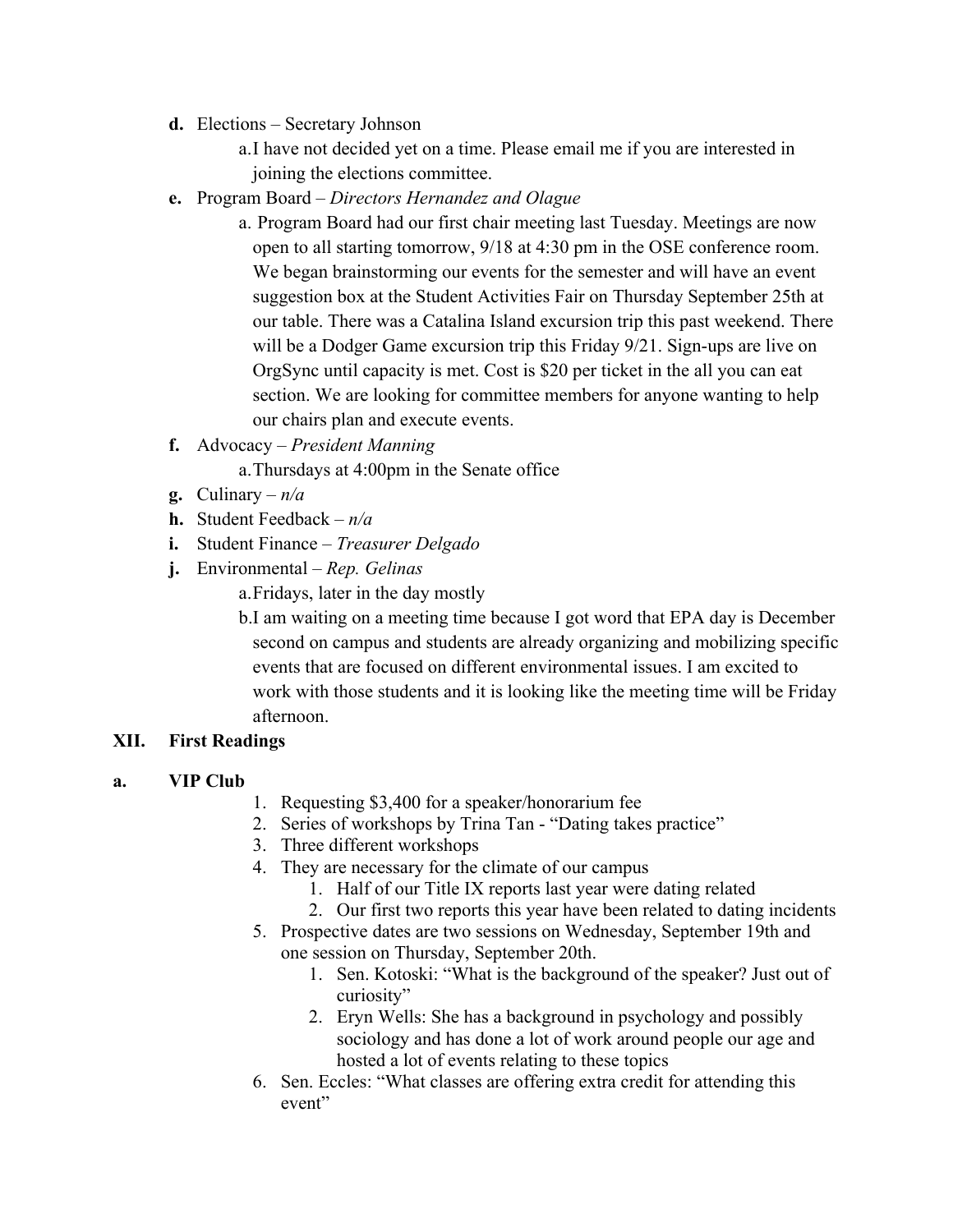**d.** Elections – Secretary Johnson

a.I have not decided yet on a time. Please email me if you are interested in joining the elections committee.

- **e.** Program Board *Directors Hernandez and Olague*
	- a. Program Board had our first chair meeting last Tuesday. Meetings are now open to all starting tomorrow, 9/18 at 4:30 pm in the OSE conference room. We began brainstorming our events for the semester and will have an event suggestion box at the Student Activities Fair on Thursday September 25th at our table. There was a Catalina Island excursion trip this past weekend. There will be a Dodger Game excursion trip this Friday 9/21. Sign-ups are live on OrgSync until capacity is met. Cost is \$20 per ticket in the all you can eat section. We are looking for committee members for anyone wanting to help our chairs plan and execute events.
- **f.** Advocacy *President Manning*

a.Thursdays at 4:00pm in the Senate office

- **g.** Culinary  $n/a$
- **h.** Student Feedback *n/a*
- **i.** Student Finance *Treasurer Delgado*
- **j.** Environmental *Rep. Gelinas*
	- a.Fridays, later in the day mostly
	- b.I am waiting on a meeting time because I got word that EPA day is December second on campus and students are already organizing and mobilizing specific events that are focused on different environmental issues. I am excited to work with those students and it is looking like the meeting time will be Friday afternoon.

### **XII. First Readings**

- **a. VIP Club**
- 1. Requesting \$3,400 for a speaker/honorarium fee
- 2. Series of workshops by Trina Tan "Dating takes practice"
- 3. Three different workshops
- 4. They are necessary for the climate of our campus
	- 1. Half of our Title IX reports last year were dating related
	- 2. Our first two reports this year have been related to dating incidents
- 5. Prospective dates are two sessions on Wednesday, September 19th and one session on Thursday, September 20th.
	- 1. Sen. Kotoski: "What is the background of the speaker? Just out of curiosity"
	- 2. Eryn Wells: She has a background in psychology and possibly sociology and has done a lot of work around people our age and hosted a lot of events relating to these topics
- 6. Sen. Eccles: "What classes are offering extra credit for attending this event"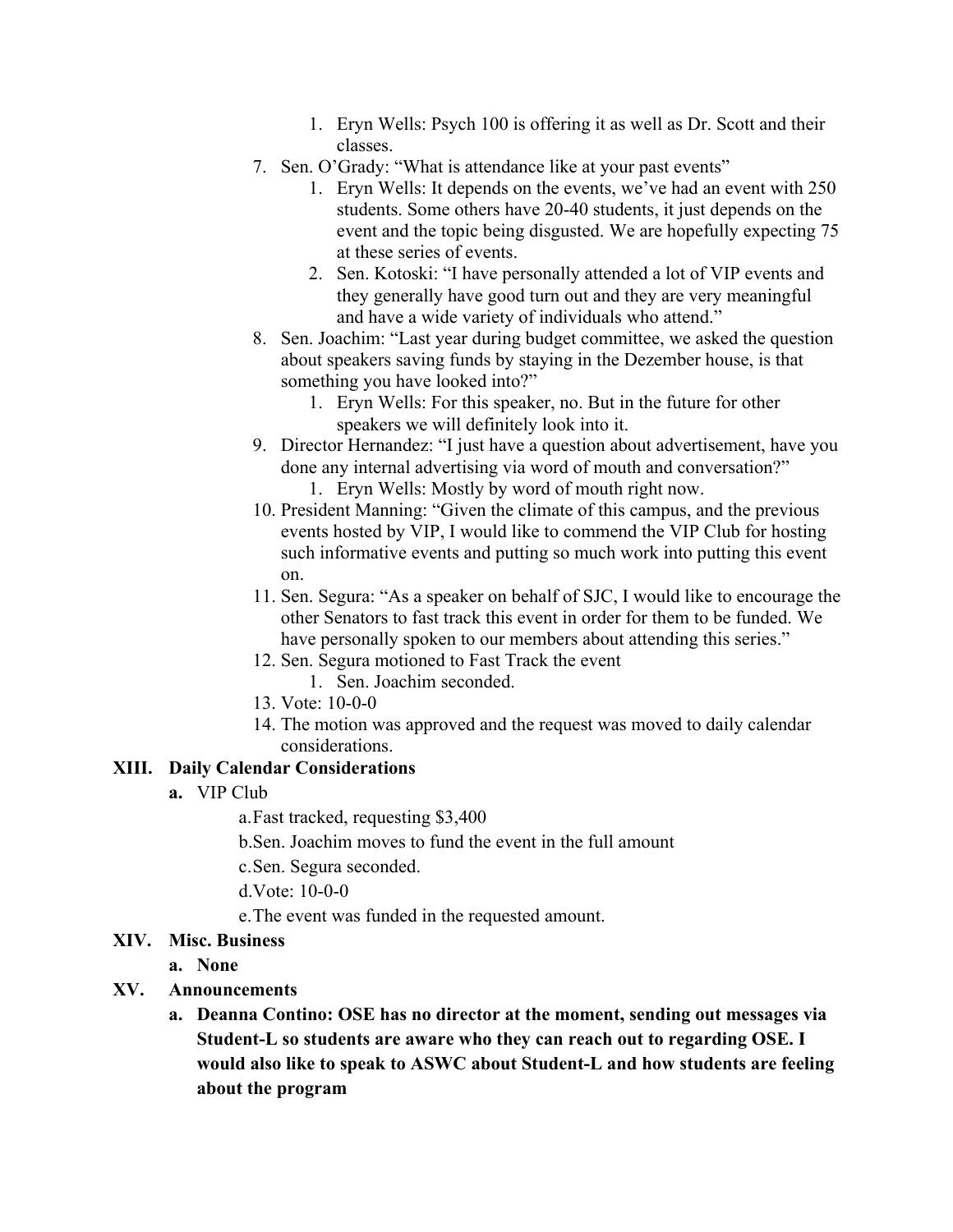- 1. Eryn Wells: Psych 100 is offering it as well as Dr. Scott and their classes.
- 7. Sen. O'Grady: "What is attendance like at your past events"
	- 1. Eryn Wells: It depends on the events, we've had an event with 250 students. Some others have 20-40 students, it just depends on the event and the topic being disgusted. We are hopefully expecting 75 at these series of events.
	- 2. Sen. Kotoski: "I have personally attended a lot of VIP events and they generally have good turn out and they are very meaningful and have a wide variety of individuals who attend."
- 8. Sen. Joachim: "Last year during budget committee, we asked the question about speakers saving funds by staying in the Dezember house, is that something you have looked into?"
	- 1. Eryn Wells: For this speaker, no. But in the future for other speakers we will definitely look into it.
- 9. Director Hernandez: "I just have a question about advertisement, have you done any internal advertising via word of mouth and conversation?"
	- 1. Eryn Wells: Mostly by word of mouth right now.
- 10. President Manning: "Given the climate of this campus, and the previous events hosted by VIP, I would like to commend the VIP Club for hosting such informative events and putting so much work into putting this event on.
- 11. Sen. Segura: "As a speaker on behalf of SJC, I would like to encourage the other Senators to fast track this event in order for them to be funded. We have personally spoken to our members about attending this series."
- 12. Sen. Segura motioned to Fast Track the event
	- 1. Sen. Joachim seconded.
- 13. Vote: 10-0-0
- 14. The motion was approved and the request was moved to daily calendar considerations.

### **XIII. Daily Calendar Considerations**

**a.** VIP Club

a.Fast tracked, requesting \$3,400

- b.Sen. Joachim moves to fund the event in the full amount
- c.Sen. Segura seconded.
- d.Vote: 10-0-0

e.The event was funded in the requested amount.

### **XIV. Misc. Business**

**a. None**

### **XV. Announcements**

**a. Deanna Contino: OSE has no director at the moment, sending out messages via Student-L so students are aware who they can reach out to regarding OSE. I would also like to speak to ASWC about Student-L and how students are feeling about the program**